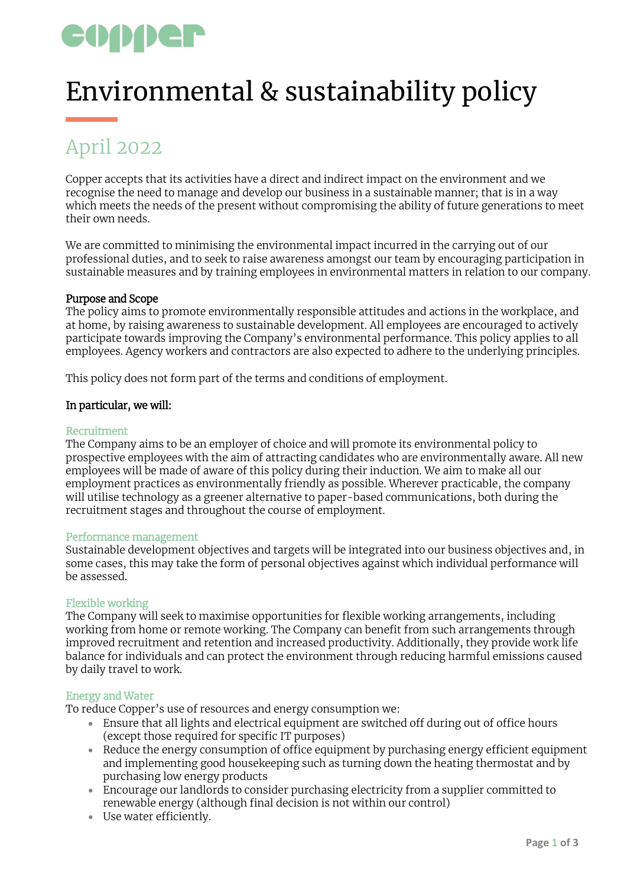# copper

## Environmental & sustainability policy

### April 2022

Copper accepts that its activities have a direct and indirect impact on the environment and we recognise the need to manage and develop our business in a sustainable manner; that is in a way which meets the needs of the present without compromising the ability of future generations to meet their own needs.

We are committed to minimising the environmental impact incurred in the carrying out of our professional duties, and to seek to raise awareness amongst our team by encouraging participation in sustainable measures and by training employees in environmental matters in relation to our company.

#### Purpose and Scope

The policy aims to promote environmentally responsible attitudes and actions in the workplace, and at home, by raising awareness to sustainable development. All employees are encouraged to actively participate towards improving the Company's environmental performance. This policy applies to all employees. Agency workers and contractors are also expected to adhere to the underlying principles.

This policy does not form part of the terms and conditions of employment.

#### In particular, we will:

#### Recruitment

The Company aims to be an employer of choice and will promote its environmental policy to prospective employees with the aim of attracting candidates who are environmentally aware. All new employees will be made of aware of this policy during their induction. We aim to make all our employment practices as environmentally friendly as possible. Wherever practicable, the company will utilise technology as a greener alternative to paper-based communications, both during the recruitment stages and throughout the course of employment.

#### Performance management

Sustainable development objectives and targets will be integrated into our business objectives and, in some cases, this may take the form of personal objectives against which individual performance will be assessed.

#### Flexible working

The Company will seek to maximise opportunities for flexible working arrangements, including working from home or remote working. The Company can benefit from such arrangements through improved recruitment and retention and increased productivity. Additionally, they provide work life balance for individuals and can protect the environment through reducing harmful emissions caused by daily travel to work.

#### Energy and Water

To reduce Copper's use of resources and energy consumption we:

- Ensure that all lights and electrical equipment are switched off during out of office hours (except those required for specific IT purposes)
- Reduce the energy consumption of office equipment by purchasing energy efficient equipment and implementing good housekeeping such as turning down the heating thermostat and by purchasing low energy products
- Encourage our landlords to consider purchasing electricity from a supplier committed to renewable energy (although final decision is not within our control)
- Use water efficiently.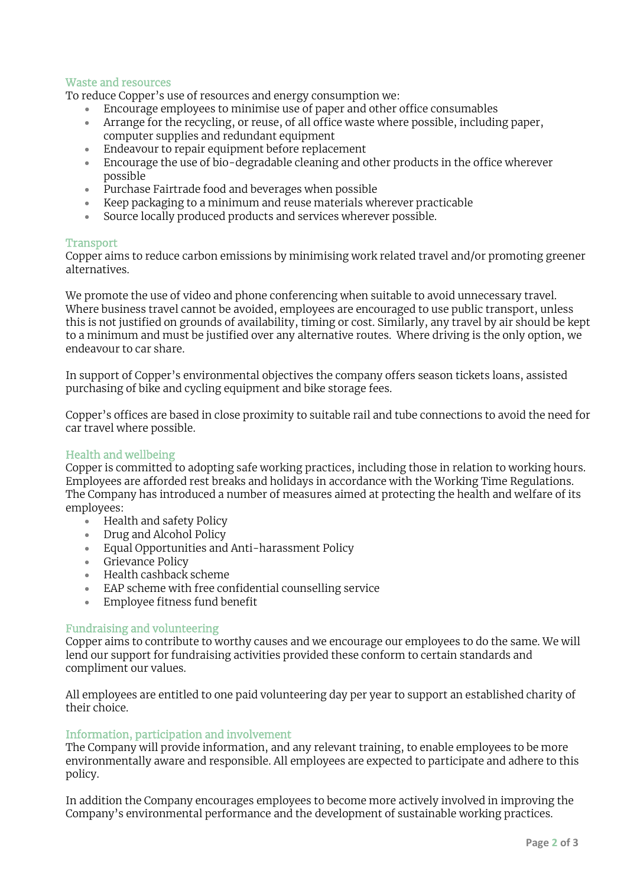#### Waste and resources

To reduce Copper's use of resources and energy consumption we:

- Encourage employees to minimise use of paper and other office consumables
- Arrange for the recycling, or reuse, of all office waste where possible, including paper, computer supplies and redundant equipment
- Endeavour to repair equipment before replacement
- Encourage the use of bio-degradable cleaning and other products in the office wherever possible
- Purchase Fairtrade food and beverages when possible
- Keep packaging to a minimum and reuse materials wherever practicable
- Source locally produced products and services wherever possible.

#### **Transport**

Copper aims to reduce carbon emissions by minimising work related travel and/or promoting greener alternatives.

We promote the use of video and phone conferencing when suitable to avoid unnecessary travel. Where business travel cannot be avoided, employees are encouraged to use public transport, unless this is not justified on grounds of availability, timing or cost. Similarly, any travel by air should be kept to a minimum and must be justified over any alternative routes. Where driving is the only option, we endeavour to car share.

In support of Copper's environmental objectives the company offers season tickets loans, assisted purchasing of bike and cycling equipment and bike storage fees.

Copper's offices are based in close proximity to suitable rail and tube connections to avoid the need for car travel where possible.

#### Health and wellbeing

Copper is committed to adopting safe working practices, including those in relation to working hours. Employees are afforded rest breaks and holidays in accordance with the Working Time Regulations. The Company has introduced a number of measures aimed at protecting the health and welfare of its employees:

- Health and safety Policy
- Drug and Alcohol Policy
- Equal Opportunities and Anti-harassment Policy
- Grievance Policy
- Health cashback scheme
- EAP scheme with free confidential counselling service
- Employee fitness fund benefit

#### Fundraising and volunteering

Copper aims to contribute to worthy causes and we encourage our employees to do the same. We will lend our support for fundraising activities provided these conform to certain standards and compliment our values.

All employees are entitled to one paid volunteering day per year to support an established charity of their choice.

#### Information, participation and involvement

The Company will provide information, and any relevant training, to enable employees to be more environmentally aware and responsible. All employees are expected to participate and adhere to this policy.

In addition the Company encourages employees to become more actively involved in improving the Company's environmental performance and the development of sustainable working practices.